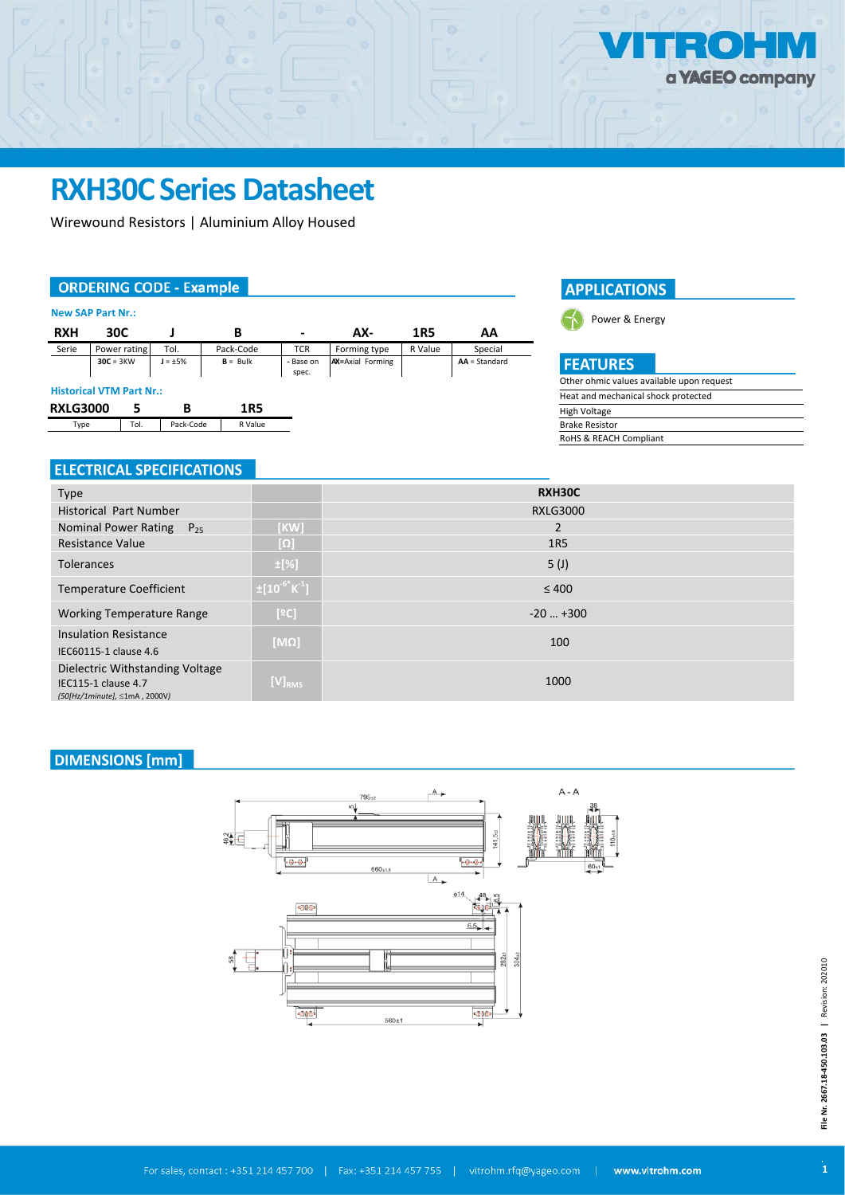# **RXH30C Series Datasheet**

Wirewound Resistors | Aluminium Alloy Housed

#### **ORDERING CODE - Example**

#### **New SAP Part Nr.:**

| <b>RXH</b>                      | 30C          |  |               | в          | -                  | AX-                     | 1R5     | ΑA              |
|---------------------------------|--------------|--|---------------|------------|--------------------|-------------------------|---------|-----------------|
| Serie                           | Power rating |  | Tol.          | Pack-Code  | <b>TCR</b>         | Forming type            | R Value | Special         |
|                                 | $30C = 3KW$  |  | $J = \pm 5\%$ | $B = Bulk$ | - Base on<br>spec. | <b>AX=Axial Forming</b> |         | $AA = Standard$ |
| <b>Historical VTM Part Nr.:</b> |              |  |               |            |                    |                         |         |                 |
| <b>RXLG3000</b>                 |              |  | В             | 1R5        |                    |                         |         |                 |
| Type                            | Tol.         |  | Pack-Code     | R Value    |                    |                         |         |                 |

## **ELECTRICAL SPECIFICATIONS**

| <b>APPLICATIONS</b> |  |
|---------------------|--|
|                     |  |



#### **FEATURES**

| Other ohmic values available upon request |
|-------------------------------------------|
| Heat and mechanical shock protected       |
| High Voltage                              |
| <b>Brake Resistor</b>                     |
| RoHS & REACH Compliant                    |
|                                           |

| <b>Type</b>                                                                                    |                                  | RXH30C           |
|------------------------------------------------------------------------------------------------|----------------------------------|------------------|
| <b>Historical Part Number</b>                                                                  |                                  | <b>RXLG3000</b>  |
| Nominal Power Rating $P_{25}$                                                                  | [KW]                             | 2                |
| <b>Resistance Value</b>                                                                        | $[\Omega]$                       | <b>1R5</b>       |
| <b>Tolerances</b>                                                                              | $\pm$ [%]                        | 5 <sup>(J)</sup> |
| <b>Temperature Coefficient</b>                                                                 | $\pm [10^{-6}$ K <sup>-1</sup> ] | $\leq 400$       |
| <b>Working Temperature Range</b>                                                               | [°C]                             | $-20+300$        |
| <b>Insulation Resistance</b>                                                                   | $[M\Omega]$                      | 100              |
| IEC60115-1 clause 4.6                                                                          |                                  |                  |
| Dielectric Withstanding Voltage<br><b>IEC115-1 clause 4.7</b><br>(50[Hz/1minute], ≤1mA, 2000V) | $[V]_{RMS}$                      | 1000             |

### **DIMENSIONS** [mm]